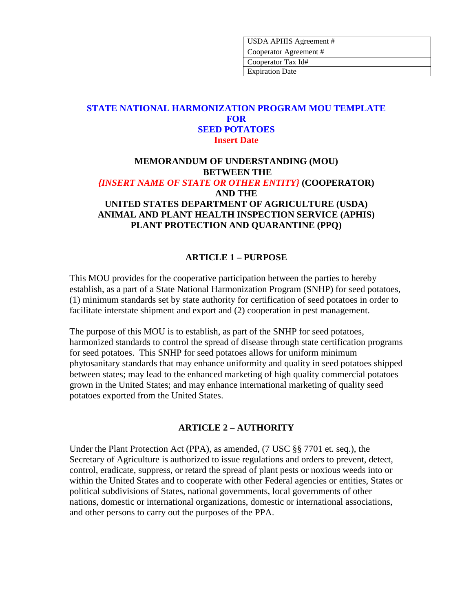| USDA APHIS Agreement # |  |
|------------------------|--|
| Cooperator Agreement # |  |
| Cooperator Tax Id#     |  |
| <b>Expiration Date</b> |  |

## **STATE NATIONAL HARMONIZATION PROGRAM MOU TEMPLATE FOR SEED POTATOES Insert Date**

## **MEMORANDUM OF UNDERSTANDING (MOU) BETWEEN THE** *{INSERT NAME OF STATE OR OTHER ENTITY}* **(COOPERATOR) AND THE UNITED STATES DEPARTMENT OF AGRICULTURE (USDA) ANIMAL AND PLANT HEALTH INSPECTION SERVICE (APHIS) PLANT PROTECTION AND QUARANTINE (PPQ)**

#### **ARTICLE 1 – PURPOSE**

This MOU provides for the cooperative participation between the parties to hereby establish, as a part of a State National Harmonization Program (SNHP) for seed potatoes, (1) minimum standards set by state authority for certification of seed potatoes in order to facilitate interstate shipment and export and (2) cooperation in pest management.

The purpose of this MOU is to establish, as part of the SNHP for seed potatoes, harmonized standards to control the spread of disease through state certification programs for seed potatoes. This SNHP for seed potatoes allows for uniform minimum phytosanitary standards that may enhance uniformity and quality in seed potatoes shipped between states; may lead to the enhanced marketing of high quality commercial potatoes grown in the United States; and may enhance international marketing of quality seed potatoes exported from the United States.

#### **ARTICLE 2 – AUTHORITY**

Under the Plant Protection Act (PPA), as amended, (7 USC §§ 7701 et. seq.), the Secretary of Agriculture is authorized to issue regulations and orders to prevent, detect, control, eradicate, suppress, or retard the spread of plant pests or noxious weeds into or within the United States and to cooperate with other Federal agencies or entities, States or political subdivisions of States, national governments, local governments of other nations, domestic or international organizations, domestic or international associations, and other persons to carry out the purposes of the PPA.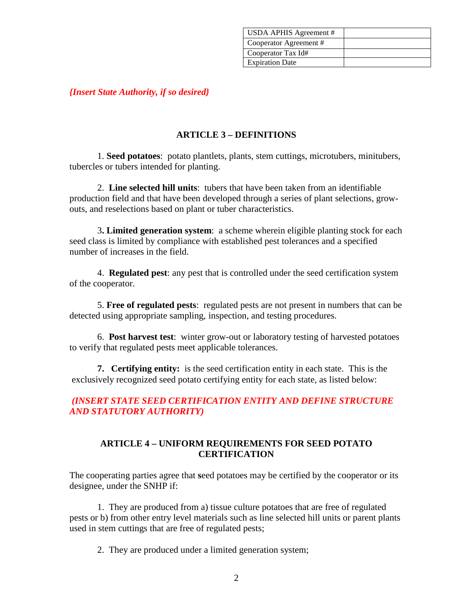| USDA APHIS Agreement # |  |
|------------------------|--|
| Cooperator Agreement # |  |
| Cooperator Tax Id#     |  |
| <b>Expiration Date</b> |  |

*{Insert State Authority, if so desired}*

### **ARTICLE 3 – DEFINITIONS**

1. **Seed potatoes**: potato plantlets, plants, stem cuttings, microtubers, minitubers, tubercles or tubers intended for planting.

2. **Line selected hill units**: tubers that have been taken from an identifiable production field and that have been developed through a series of plant selections, growouts, and reselections based on plant or tuber characteristics.

3**. Limited generation system**: a scheme wherein eligible planting stock for each seed class is limited by compliance with established pest tolerances and a specified number of increases in the field.

4. **Regulated pest**: any pest that is controlled under the seed certification system of the cooperator.

5. **Free of regulated pests**: regulated pests are not present in numbers that can be detected using appropriate sampling, inspection, and testing procedures.

6. **Post harvest test**: winter grow-out or laboratory testing of harvested potatoes to verify that regulated pests meet applicable tolerances.

**7. Certifying entity:** is the seed certification entity in each state. This is the exclusively recognized seed potato certifying entity for each state, as listed below:

## *(INSERT STATE SEED CERTIFICATION ENTITY AND DEFINE STRUCTURE AND STATUTORY AUTHORITY)*

## **ARTICLE 4 – UNIFORM REQUIREMENTS FOR SEED POTATO CERTIFICATION**

The cooperating parties agree that **s**eed potatoes may be certified by the cooperator or its designee, under the SNHP if:

1. They are produced from a) tissue culture potatoes that are free of regulated pests or b) from other entry level materials such as line selected hill units or parent plants used in stem cuttings that are free of regulated pests;

2. They are produced under a limited generation system;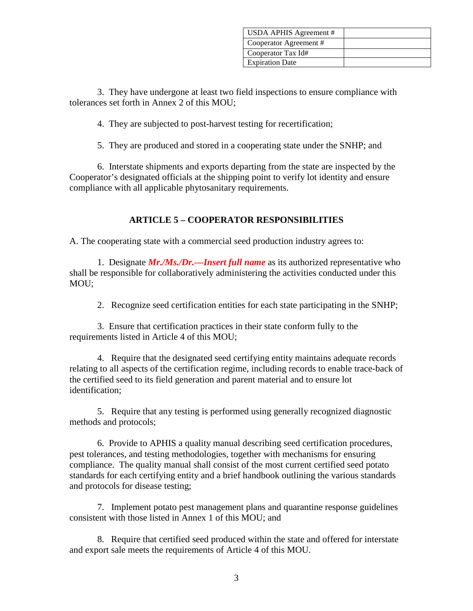| USDA APHIS Agreement # |  |
|------------------------|--|
| Cooperator Agreement # |  |
| Cooperator Tax Id#     |  |
| <b>Expiration Date</b> |  |

3. They have undergone at least two field inspections to ensure compliance with tolerances set forth in Annex 2 of this MOU;

4. They are subjected to post-harvest testing for recertification;

5. They are produced and stored in a cooperating state under the SNHP; and

6. Interstate shipments and exports departing from the state are inspected by the Cooperator's designated officials at the shipping point to verify lot identity and ensure compliance with all applicable phytosanitary requirements.

#### **ARTICLE 5 – COOPERATOR RESPONSIBILITIES**

A. The cooperating state with a commercial seed production industry agrees to:

1. Designate *Mr./Ms./Dr.—Insert full name* as its authorized representative who shall be responsible for collaboratively administering the activities conducted under this MOU;

2. Recognize seed certification entities for each state participating in the SNHP;

3. Ensure that certification practices in their state conform fully to the requirements listed in Article 4 of this MOU;

4. Require that the designated seed certifying entity maintains adequate records relating to all aspects of the certification regime, including records to enable trace-back of the certified seed to its field generation and parent material and to ensure lot identification;

5. Require that any testing is performed using generally recognized diagnostic methods and protocols;

6. Provide to APHIS a quality manual describing seed certification procedures, pest tolerances, and testing methodologies, together with mechanisms for ensuring compliance. The quality manual shall consist of the most current certified seed potato standards for each certifying entity and a brief handbook outlining the various standards and protocols for disease testing;

7. Implement potato pest management plans and quarantine response guidelines consistent with those listed in Annex 1 of this MOU; and

8. Require that certified seed produced within the state and offered for interstate and export sale meets the requirements of Article 4 of this MOU.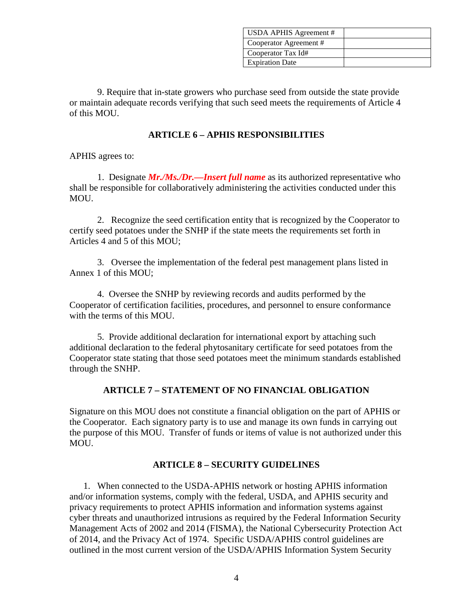| USDA APHIS Agreement # |  |
|------------------------|--|
| Cooperator Agreement # |  |
| Cooperator Tax Id#     |  |
| <b>Expiration Date</b> |  |

9. Require that in-state growers who purchase seed from outside the state provide or maintain adequate records verifying that such seed meets the requirements of Article 4 of this MOU.

#### **ARTICLE 6 – APHIS RESPONSIBILITIES**

APHIS agrees to:

1. Designate *Mr./Ms./Dr.—Insert full name* as its authorized representative who shall be responsible for collaboratively administering the activities conducted under this MOU.

2. Recognize the seed certification entity that is recognized by the Cooperator to certify seed potatoes under the SNHP if the state meets the requirements set forth in Articles 4 and 5 of this MOU;

3. Oversee the implementation of the federal pest management plans listed in Annex 1 of this MOU;

4. Oversee the SNHP by reviewing records and audits performed by the Cooperator of certification facilities, procedures, and personnel to ensure conformance with the terms of this MOU.

5. Provide additional declaration for international export by attaching such additional declaration to the federal phytosanitary certificate for seed potatoes from the Cooperator state stating that those seed potatoes meet the minimum standards established through the SNHP.

#### **ARTICLE 7 – STATEMENT OF NO FINANCIAL OBLIGATION**

Signature on this MOU does not constitute a financial obligation on the part of APHIS or the Cooperator. Each signatory party is to use and manage its own funds in carrying out the purpose of this MOU. Transfer of funds or items of value is not authorized under this MOU.

## **ARTICLE 8 – SECURITY GUIDELINES**

1. When connected to the USDA-APHIS network or hosting APHIS information and/or information systems, comply with the federal, USDA, and APHIS security and privacy requirements to protect APHIS information and information systems against cyber threats and unauthorized intrusions as required by the Federal Information Security Management Acts of 2002 and 2014 (FISMA), the National Cybersecurity Protection Act of 2014, and the Privacy Act of 1974. Specific USDA/APHIS control guidelines are outlined in the most current version of the USDA/APHIS Information System Security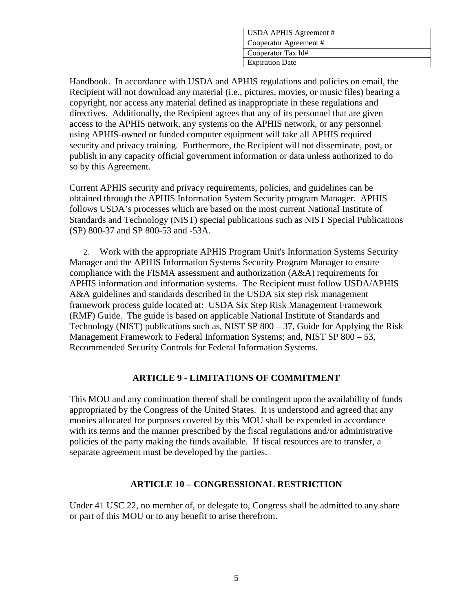| USDA APHIS Agreement # |  |
|------------------------|--|
| Cooperator Agreement # |  |
| Cooperator Tax Id#     |  |
| <b>Expiration Date</b> |  |

Handbook. In accordance with USDA and APHIS regulations and policies on email, the Recipient will not download any material (i.e., pictures, movies, or music files) bearing a copyright, nor access any material defined as inappropriate in these regulations and directives. Additionally, the Recipient agrees that any of its personnel that are given access to the APHIS network, any systems on the APHIS network, or any personnel using APHIS-owned or funded computer equipment will take all APHIS required security and privacy training. Furthermore, the Recipient will not disseminate, post, or publish in any capacity official government information or data unless authorized to do so by this Agreement.

Current APHIS security and privacy requirements, policies, and guidelines can be obtained through the APHIS Information System Security program Manager. APHIS follows USDA's processes which are based on the most current National Institute of Standards and Technology (NIST) special publications such as NIST Special Publications (SP) 800-37 and SP 800-53 and -53A.

2. Work with the appropriate APHIS Program Unit's Information Systems Security Manager and the APHIS Information Systems Security Program Manager to ensure compliance with the FISMA assessment and authorization (A&A) requirements for APHIS information and information systems. The Recipient must follow USDA/APHIS A&A guidelines and standards described in the USDA six step risk management framework process guide located at: USDA Six Step Risk Management Framework (RMF) Guide. The guide is based on applicable National Institute of Standards and Technology (NIST) publications such as, NIST SP 800 – 37, Guide for Applying the Risk Management Framework to Federal Information Systems; and, NIST SP 800 – 53, Recommended Security Controls for Federal Information Systems.

## **ARTICLE 9 - LIMITATIONS OF COMMITMENT**

This MOU and any continuation thereof shall be contingent upon the availability of funds appropriated by the Congress of the United States. It is understood and agreed that any monies allocated for purposes covered by this MOU shall be expended in accordance with its terms and the manner prescribed by the fiscal regulations and/or administrative policies of the party making the funds available. If fiscal resources are to transfer, a separate agreement must be developed by the parties.

#### **ARTICLE 10 – CONGRESSIONAL RESTRICTION**

Under 41 USC 22, no member of, or delegate to, Congress shall be admitted to any share or part of this MOU or to any benefit to arise therefrom.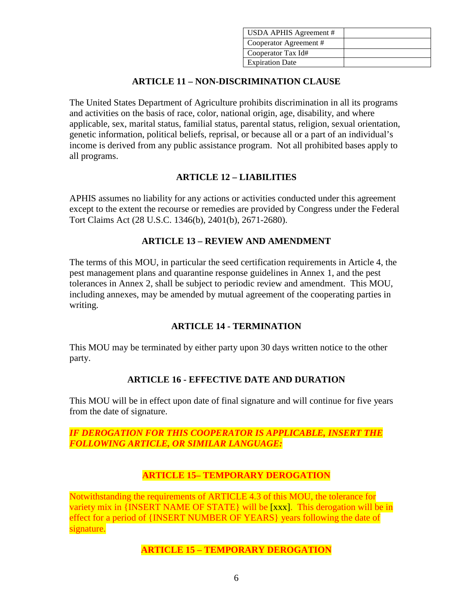| USDA APHIS Agreement # |  |
|------------------------|--|
| Cooperator Agreement # |  |
| Cooperator Tax Id#     |  |
| <b>Expiration Date</b> |  |

## **ARTICLE 11 – NON-DISCRIMINATION CLAUSE**

The United States Department of Agriculture prohibits discrimination in all its programs and activities on the basis of race, color, national origin, age, disability, and where applicable, sex, marital status, familial status, parental status, religion, sexual orientation, genetic information, political beliefs, reprisal, or because all or a part of an individual's income is derived from any public assistance program. Not all prohibited bases apply to all programs.

## **ARTICLE 12 – LIABILITIES**

APHIS assumes no liability for any actions or activities conducted under this agreement except to the extent the recourse or remedies are provided by Congress under the Federal Tort Claims Act (28 U.S.C. 1346(b), 2401(b), 2671-2680).

## **ARTICLE 13 – REVIEW AND AMENDMENT**

The terms of this MOU, in particular the seed certification requirements in Article 4, the pest management plans and quarantine response guidelines in Annex 1, and the pest tolerances in Annex 2, shall be subject to periodic review and amendment. This MOU, including annexes, may be amended by mutual agreement of the cooperating parties in writing.

## **ARTICLE 14 - TERMINATION**

This MOU may be terminated by either party upon 30 days written notice to the other party.

## **ARTICLE 16 - EFFECTIVE DATE AND DURATION**

This MOU will be in effect upon date of final signature and will continue for five years from the date of signature.

## *IF DEROGATION FOR THIS COOPERATOR IS APPLICABLE, INSERT THE FOLLOWING ARTICLE, OR SIMILAR LANGUAGE:*

# **ARTICLE 15– TEMPORARY DEROGATION**

Notwithstanding the requirements of ARTICLE 4.3 of this MOU, the tolerance for variety mix in {INSERT NAME OF STATE} will be [xxx]. This derogation will be in effect for a period of {INSERT NUMBER OF YEARS} years following the date of signature.

## **ARTICLE 15 – TEMPORARY DEROGATION**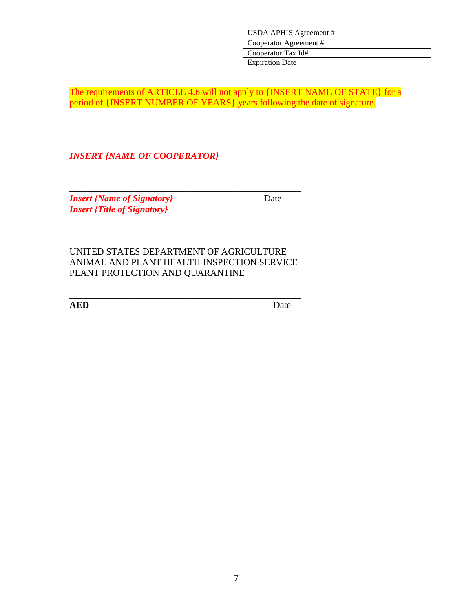| USDA APHIS Agreement # |  |
|------------------------|--|
| Cooperator Agreement # |  |
| Cooperator Tax Id#     |  |
| <b>Expiration Date</b> |  |

The requirements of ARTICLE 4.6 will not apply to {INSERT NAME OF STATE} for a period of {INSERT NUMBER OF YEARS} years following the date of signature.

*INSERT {NAME OF COOPERATOR}*

\_\_\_\_\_\_\_\_\_\_\_\_\_\_\_\_\_\_\_\_\_\_\_\_\_\_\_\_\_\_\_\_\_\_\_\_\_\_\_\_\_\_\_\_\_\_\_\_\_\_ *Insert {Name of Signatory}* Date *Insert {Title of Signatory}*

UNITED STATES DEPARTMENT OF AGRICULTURE ANIMAL AND PLANT HEALTH INSPECTION SERVICE PLANT PROTECTION AND QUARANTINE

\_\_\_\_\_\_\_\_\_\_\_\_\_\_\_\_\_\_\_\_\_\_\_\_\_\_\_\_\_\_\_\_\_\_\_\_\_\_\_\_\_\_\_\_\_\_\_\_\_\_

**AED** Date